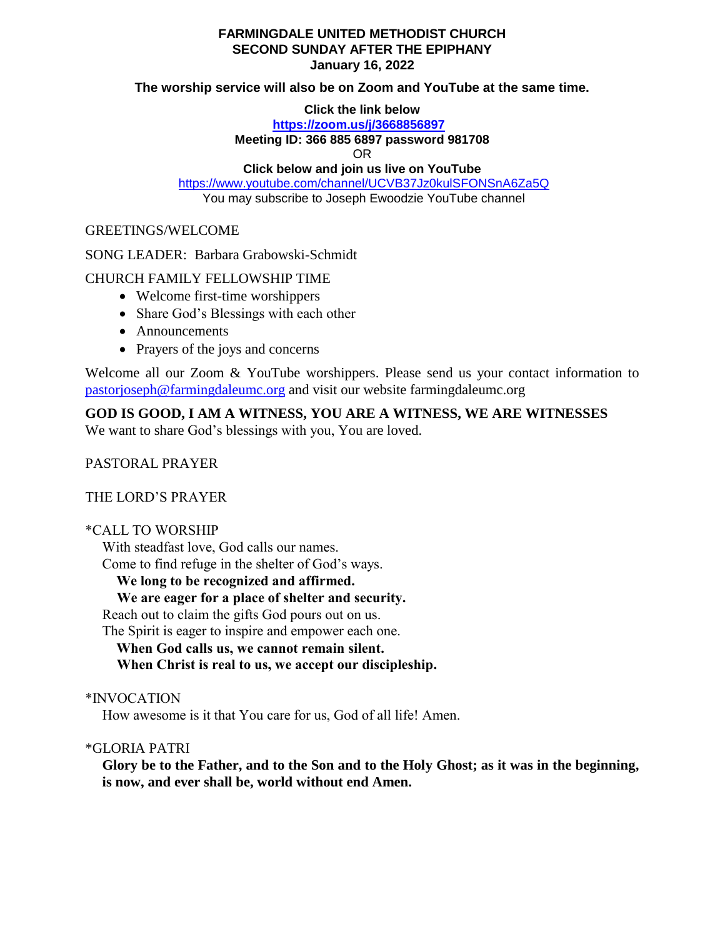## **FARMINGDALE UNITED METHODIST CHURCH SECOND SUNDAY AFTER THE EPIPHANY January 16, 2022**

#### **The worship service will also be on Zoom and YouTube at the same time.**

#### **Click the link below**

# **<https://zoom.us/j/3668856897>**

#### **Meeting ID: 366 885 6897 password 981708**

OR

# **Click below and join us live on YouTube**

<https://www.youtube.com/channel/UCVB37Jz0kulSFONSnA6Za5Q> You may subscribe to Joseph Ewoodzie YouTube channel

## GREETINGS/WELCOME

#### SONG LEADER: Barbara Grabowski-Schmidt

# CHURCH FAMILY FELLOWSHIP TIME

- Welcome first-time worshippers
- Share God's Blessings with each other
- Announcements
- Prayers of the joys and concerns

Welcome all our Zoom & YouTube worshippers. Please send us your contact information to [pastorjoseph@farmingdaleumc.org](mailto:pastorjoseph@farmingdaleumc.org) and visit our website farmingdaleumc.org

# **GOD IS GOOD, I AM A WITNESS, YOU ARE A WITNESS, WE ARE WITNESSES**

We want to share God's blessings with you, You are loved.

# PASTORAL PRAYER

# THE LORD'S PRAYER

# \*CALL TO WORSHIP

With steadfast love, God calls our names. Come to find refuge in the shelter of God's ways.

**We long to be recognized and affirmed.**

# **We are eager for a place of shelter and security.**

Reach out to claim the gifts God pours out on us.

The Spirit is eager to inspire and empower each one.

# **When God calls us, we cannot remain silent.**

 **When Christ is real to us, we accept our discipleship.**

# \*INVOCATION

How awesome is it that You care for us, God of all life! Amen.

# \*GLORIA PATRI

**Glory be to the Father, and to the Son and to the Holy Ghost; as it was in the beginning, is now, and ever shall be, world without end Amen.**